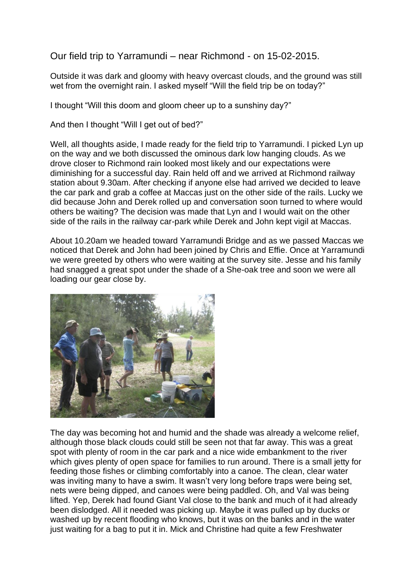Our field trip to Yarramundi – near Richmond - on 15-02-2015.

Outside it was dark and gloomy with heavy overcast clouds, and the ground was still wet from the overnight rain. I asked myself "Will the field trip be on today?"

I thought "Will this doom and gloom cheer up to a sunshiny day?"

And then I thought "Will I get out of bed?"

Well, all thoughts aside, I made ready for the field trip to Yarramundi. I picked Lyn up on the way and we both discussed the ominous dark low hanging clouds. As we drove closer to Richmond rain looked most likely and our expectations were diminishing for a successful day. Rain held off and we arrived at Richmond railway station about 9.30am. After checking if anyone else had arrived we decided to leave the car park and grab a coffee at Maccas just on the other side of the rails. Lucky we did because John and Derek rolled up and conversation soon turned to where would others be waiting? The decision was made that Lyn and I would wait on the other side of the rails in the railway car-park while Derek and John kept vigil at Maccas.

About 10.20am we headed toward Yarramundi Bridge and as we passed Maccas we noticed that Derek and John had been joined by Chris and Effie. Once at Yarramundi we were greeted by others who were waiting at the survey site. Jesse and his family had snagged a great spot under the shade of a She-oak tree and soon we were all loading our gear close by.



The day was becoming hot and humid and the shade was already a welcome relief, although those black clouds could still be seen not that far away. This was a great spot with plenty of room in the car park and a nice wide embankment to the river which gives plenty of open space for families to run around. There is a small jetty for feeding those fishes or climbing comfortably into a canoe. The clean, clear water was inviting many to have a swim. It wasn't very long before traps were being set, nets were being dipped, and canoes were being paddled. Oh, and Val was being lifted. Yep, Derek had found Giant Val close to the bank and much of it had already been dislodged. All it needed was picking up. Maybe it was pulled up by ducks or washed up by recent flooding who knows, but it was on the banks and in the water just waiting for a bag to put it in. Mick and Christine had quite a few Freshwater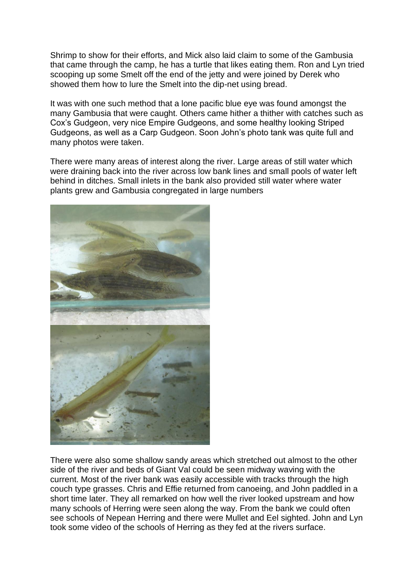Shrimp to show for their efforts, and Mick also laid claim to some of the Gambusia that came through the camp, he has a turtle that likes eating them. Ron and Lyn tried scooping up some Smelt off the end of the jetty and were joined by Derek who showed them how to lure the Smelt into the dip-net using bread.

It was with one such method that a lone pacific blue eve was found amongst the many Gambusia that were caught. Others came hither a thither with catches such as Cox's Gudgeon, very nice Empire Gudgeons, and some healthy looking Striped Gudgeons, as well as a Carp Gudgeon. Soon John's photo tank was quite full and many photos were taken.

There were many areas of interest along the river. Large areas of still water which were draining back into the river across low bank lines and small pools of water left behind in ditches. Small inlets in the bank also provided still water where water plants grew and Gambusia congregated in large numbers



There were also some shallow sandy areas which stretched out almost to the other side of the river and beds of Giant Val could be seen midway waving with the current. Most of the river bank was easily accessible with tracks through the high couch type grasses. Chris and Effie returned from canoeing, and John paddled in a short time later. They all remarked on how well the river looked upstream and how many schools of Herring were seen along the way. From the bank we could often see schools of Nepean Herring and there were Mullet and Eel sighted. John and Lyn took some video of the schools of Herring as they fed at the rivers surface.